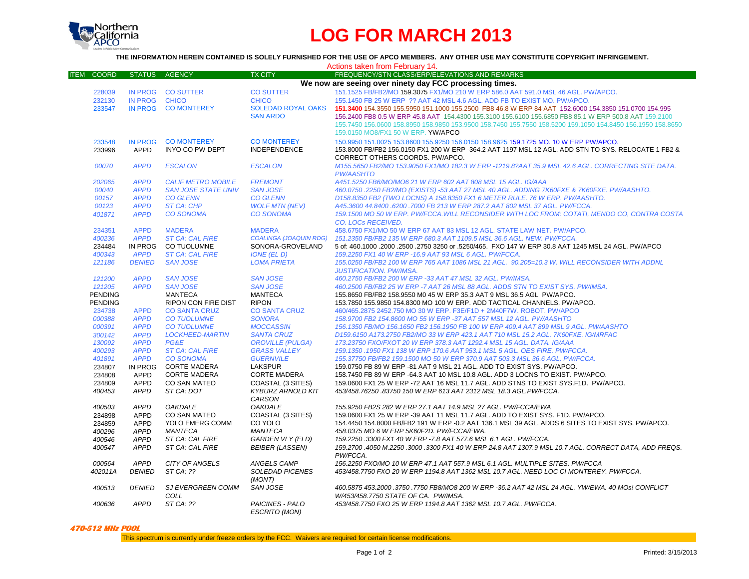

# **LOG FOR MARCH 2013**

## **THE INFORMATION HEREIN CONTAINED IS SOLELY FURNISHED FOR THE USE OF APCO MEMBERS. ANY OTHER USE MAY CONSTITUTE COPYRIGHT INFRINGEMENT.**

| Actions taken from February 14. |                |                            |                               |                                                                                                             |
|---------------------------------|----------------|----------------------------|-------------------------------|-------------------------------------------------------------------------------------------------------------|
| <b>ITEM COORD</b>               | <b>STATUS</b>  | <b>AGENCY</b>              | <b>TX CITY</b>                | FREQUENCY/STN CLASS/ERP/ELEVATIONS AND REMARKS                                                              |
|                                 |                |                            |                               | We now are seeing over ninety day FCC processing times.                                                     |
| 228039                          | <b>IN PROG</b> | <b>CO SUTTER</b>           | <b>CO SUTTER</b>              | 151.1525 FB/FB2/MO 159.3075 FX1/MO 210 W ERP 586.0 AAT 591.0 MSL 46 AGL. PW/APCO.                           |
| 232130                          | <b>IN PROG</b> | <b>CHICO</b>               | <b>CHICO</b>                  | 155,1450 FB 25 W ERP ?? AAT 42 MSL 4.6 AGL, ADD FB TO EXIST MO, PW/APCO.                                    |
| 233547                          |                | IN PROG CO MONTEREY        | <b>SOLEDAD ROYAL OAKS</b>     | 151.3400 154.3550 155.5950 151.1000 155.2500 FB8 46.8 W ERP 84 AAT 152.6000 154.3850 151.0700 154.995       |
|                                 |                |                            | <b>SAN ARDO</b>               | 156.2400 FB8 0.5 W ERP 45.8 AAT 154.4300 155.3100 155.6100 155.6850 FB8 85.1 W ERP 500.8 AAT 159.2100       |
|                                 |                |                            |                               | 155.7450 156.0600 158.8950 158.9850 153.9500 158.7450 155.7550 158.5200 159.1050 154.8450 156.1950 158.8650 |
|                                 |                |                            |                               | 159.0150 MO8/FX1 50 W ERP. YW/APCO                                                                          |
|                                 |                |                            |                               |                                                                                                             |
| 233548                          | <b>IN PROG</b> | <b>CO MONTEREY</b>         | <b>CO MONTEREY</b>            | 150.9950 151.0025 153.8600 155.9250 156.0150 158.9625 159.1725 MO. 10 W ERP PW/APCO.                        |
| 233996                          | <b>APPD</b>    | <b>INYO CO PW DEPT</b>     | <b>INDEPENDENCE</b>           | 153.8000 FB/FB2 156.0150 FX1 200 W ERP -364.2 AAT 1197 MSL 12 AGL. ADD STN TO SYS. RELOCATE 1 FB2 &         |
|                                 |                |                            |                               | CORRECT OTHERS COORDS. PW/APCO.                                                                             |
| 00070                           | <b>APPD</b>    | <b>ESCALON</b>             | <b>ESCALON</b>                | M155.5650 FB2/MO 153.9050 FX1/MO 182.3 W ERP -1219.8?AAT 35.9 MSL 42.6 AGL, CORRECTING SITE DATA.           |
|                                 |                |                            |                               | <b>PW/AASHTO</b>                                                                                            |
| 202065                          | <b>APPD</b>    | <b>CALIF METRO MOBILE</b>  | <b>FREMONT</b>                | A451.5250 FB6/MO/MO6 21 W ERP 602 AAT 808 MSL 15 AGL. IG/AAA                                                |
| 00040                           | <b>APPD</b>    | <b>SAN JOSE STATE UNIV</b> | <b>SAN JOSE</b>               | 460.0750 .2250 FB2/MO (EXISTS) -53 AAT 27 MSL 40 AGL. ADDING 7K60FXE & 7K60FXE. PW/AASHTO.                  |
| 00157                           | <b>APPD</b>    | <b>CO GLENN</b>            | <b>CO GLENN</b>               | D158.8350 FB2 (TWO LOCNS) A 158.8350 FX1 6 METER RULE. 76 W ERP. PW/AASHTO.                                 |
| 00123                           | <b>APPD</b>    | <b>ST CA: CHP</b>          | <b>WOLF MTN (NEV)</b>         | A45.3600 44.8400 .6200 .7000 FB 213 W ERP 287.2 AAT 802 MSL 37 AGL. PW/FCCA.                                |
| 401871                          | <b>APPD</b>    | <b>CO SONOMA</b>           | <b>CO SONOMA</b>              | 159.1500 MO 50 W ERP. PW/FCCA.WILL RECONSIDER WITH LOC FROM: COTATI, MENDO CO, CONTRA COSTA                 |
|                                 |                |                            |                               | CO. LOCs RECEIVED.                                                                                          |
| 234351                          | <b>APPD</b>    | <b>MADERA</b>              | <b>MADERA</b>                 | 458,6750 FX1/MO 50 W ERP 67 AAT 83 MSL 12 AGL, STATE LAW NET, PW/APCO.                                      |
| 400236                          | <b>APPD</b>    | <b>ST CA: CAL FIRE</b>     | <b>COALINGA (JOAQUIN RDG)</b> | 151.2350 FB/FB2 135 W ERP 680.3 AAT 1109.5 MSL 36.6 AGL. NEW. PW/FCCA.                                      |
| 234484                          | IN PROG        | CO TUOLUMNE                | SONORA-GROVELAND              | 5 of: 460.1000 .2000 .2500 .2750 3250 or .5250/465. FXO 147 W ERP 30.8 AAT 1245 MSL 24 AGL. PW/APCO         |
| 400343                          | <b>APPD</b>    | <b>ST CA: CAL FIRE</b>     | IONE (EL D)                   | 159.2250 FX1 40 W ERP - 16.9 AAT 93 MSL 6 AGL. PW/FCCA.                                                     |
| 121186                          | <b>DENIED</b>  | <b>SAN JOSE</b>            | <b>LOMA PRIETA</b>            | 155.0250 FB/FB2 100 W ERP 765 AAT 1086 MSL 21 AGL. 90.205=10.3 W. WILL RECONSIDER WITH ADDNL                |
|                                 |                |                            |                               |                                                                                                             |
|                                 |                |                            |                               | <b>JUSTIFICATION. PW/IMSA.</b>                                                                              |
| 121200                          | <b>APPD</b>    | <b>SAN JOSE</b>            | <b>SAN JOSE</b>               | 460.2750 FB/FB2 200 W ERP -33 AAT 47 MSL 32 AGL. PW/IMSA.                                                   |
| 121205                          | <b>APPD</b>    | <b>SAN JOSE</b>            | <b>SAN JOSE</b>               | 460.2500 FB/FB2 25 W ERP -7 AAT 26 MSL 88 AGL. ADDS STN TO EXIST SYS. PW/IMSA.                              |
| <b>PENDING</b>                  |                | <b>MANTECA</b>             | <b>MANTECA</b>                | 155.8650 FB/FB2 158.9550 M0 45 W ERP 35.3 AAT 9 MSL 36.5 AGL PW/APCO.                                       |
| <b>PENDING</b>                  |                | RIPON CON FIRE DIST        | <b>RIPON</b>                  | 153.7850 155.9850 154.8300 MO 100 W ERP. ADD TACTICAL CHANNELS. PW/APCO.                                    |
| 234738                          | <b>APPD</b>    | <b>CO SANTA CRUZ</b>       | <b>CO SANTA CRUZ</b>          | 460/465.2875 2452.750 MO 30 W ERP. F3E/F1D + 2M40F7W. ROBOT. PW/APCO                                        |
| 000388                          | <b>APPD</b>    | <b>CO TUOLUMNE</b>         | <b>SONORA</b>                 | 158.9700 FB2 154.8600 MO 55 W ERP -37 AAT 557 MSL 12 AGL. PW/AASHTO                                         |
| 000391                          | <b>APPD</b>    | <b>CO TUOLUMNE</b>         | <b>MOCCASSIN</b>              | 156.1350 FB/MO 156.1650 FB2 156.1950 FB 100 W ERP 409.4 AAT 899 MSL 9 AGL. PW/AASHTO                        |
| 300142                          | <b>APPD</b>    | <b>LOCKHEED-MARTIN</b>     | <b>SANTA CRUZ</b>             | D159.6150 A173.2750 FB2/MO 33 W ERP 423.1 AAT 710 MSL 15.2 AGL. 7K60FXE. IG/MRFAC                           |
| 130092                          | <b>APPD</b>    | PG&E                       | <b>OROVILLE (PULGA)</b>       | 173.23750 FXO/FXOT 20 W ERP 378.3 AAT 1292.4 MSL 15 AGL, DATA, IG/AAA                                       |
| 400293                          | <b>APPD</b>    | <b>ST CA: CAL FIRE</b>     | <b>GRASS VALLEY</b>           | 159.1350 .1950 FX1 138 W ERP 170.6 AAT 953.1 MSL 5 AGL. OES FIRE. PW/FCCA.                                  |
| 401891                          | <b>APPD</b>    | <b>CO SONOMA</b>           | <b>GUERNVILE</b>              | 155.37750 FB/FB2 159.1500 MO 50 W ERP 370.9 AAT 503.3 MSL 36.6 AGL. PW/FCCA.                                |
| 234807                          | <b>IN PROG</b> | <b>CORTE MADERA</b>        | <b>LAKSPUR</b>                | 159.0750 FB 89 W ERP -81 AAT 9 MSL 21 AGL. ADD TO EXIST SYS. PW/APCO.                                       |
| 234808                          | APPD           | <b>CORTE MADERA</b>        | <b>CORTE MADERA</b>           | 158.7450 FB 89 W ERP -64.3 AAT 10 MSL 10.8 AGL. ADD 3 LOCNS TO EXIST. PW/APCO.                              |
| 234809                          | <b>APPD</b>    | CO SAN MATEO               | COASTAL (3 SITES)             | 159.0600 FX1 25 W ERP -72 AAT 16 MSL 11.7 AGL. ADD STNS TO EXIST SYS.F1D. PW/APCO.                          |
| 400453                          | <b>APPD</b>    | ST CA: DOT                 | <b>KYBURZ ARNOLD KIT</b>      | 453/458.76250 .83750 150 W ERP 613 AAT 2312 MSL 18.3 AGL.PW/FCCA.                                           |
|                                 |                |                            | CARSON                        |                                                                                                             |
| 400503                          | <b>APPD</b>    | <b>OAKDALE</b>             | <b>OAKDALE</b>                | 155.9250 FB2S 282 W ERP 27.1 AAT 14.9 MSL 27 AGL. PW/FCCA/EWA                                               |
| 234898                          | <b>APPD</b>    | <b>CO SAN MATEO</b>        | COASTAL (3 SITES)             | 159,0600 FX1 25 W ERP -39 AAT 11 MSL 11.7 AGL. ADD TO EXIST SYS. F1D. PW/APCO.                              |
| 234859                          | APPD           | YOLO EMERG COMM            | CO YOLO                       | 154.4450 154.8000 FB/FB2 191 W ERP -0.2 AAT 136.1 MSL 39 AGL. ADDS 6 SITES TO EXIST SYS. PW/APCO.           |
| 400296                          | <b>APPD</b>    | <b>MANTECA</b>             | <b>MANTECA</b>                | 458.0375 MO 6 W ERP 5K60F2D. PW/FCCA/EWA.                                                                   |
| 400546                          | <b>APPD</b>    | ST CA: CAL FIRE            | <b>GARDEN VLY (ELD)</b>       | 159.2250 .3300 FX1 40 W ERP -7.8 AAT 577.6 MSL 6.1 AGL. PW/FCCA.                                            |
| 400547                          | <b>APPD</b>    | ST CA: CAL FIRE            | <b>BEIBER (LASSEN)</b>        | 159.2700 .4050 M.2250 .3000 .3300 FX1 40 W ERP 24.8 AAT 1307.9 MSL 10.7 AGL. CORRECT DATA, ADD FREQS.       |
|                                 |                |                            |                               | PW/FCCA.                                                                                                    |
| 000564                          | <b>APPD</b>    | CITY OF ANGELS             | ANGELS CAMP                   | 156.2250 FXO/MO 10 W ERP 47.1 AAT 557.9 MSL 6.1 AGL. MULTIPLE SITES. PW/FCCA                                |
| 402011A                         | <b>DENIED</b>  | ST CA: ??                  | <b>SOLEDAD PICENES</b>        | 453/458.7750 FXO 20 W ERP 1194.8 AAT 1362 MSL 10.7 AGL. NEED LOC CI MONTEREY. PW/FCCA.                      |
|                                 |                |                            | (MONT)                        |                                                                                                             |
| 400513                          | <b>DENIED</b>  | <b>SJ EVERGREEN COMM</b>   | SAN JOSE                      | 460.5875 453.2000 .3750 .7750 FB8/MO8 200 W ERP -36.2 AAT 42 MSL 24 AGL. YW/EWA. 40 MOs! CONFLICT           |
|                                 |                | COLL                       |                               | W/453/458.7750 STATE OF CA. PW/IMSA.                                                                        |
| 400636                          | <b>APPD</b>    | ST CA: ??                  | PAICINES - PALO               | 453/458.7750 FXO 25 W ERP 1194.8 AAT 1362 MSL 10.7 AGL. PW/FCCA.                                            |
|                                 |                |                            | <b>ESCRITO (MON)</b>          |                                                                                                             |

#### **470-512 MHz POOL**

This spectrum is currently under freeze orders by the FCC. Waivers are required for certain license modifications.